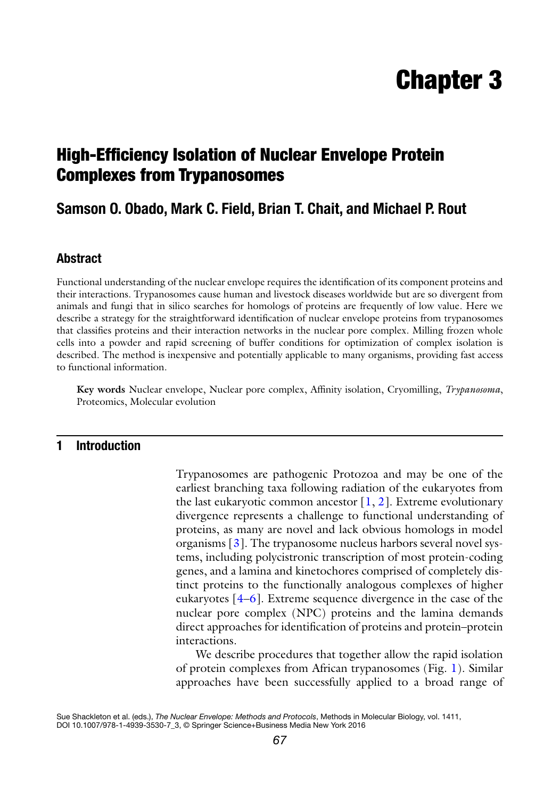# **Chapter 3**

# **High-Effi ciency Isolation of Nuclear Envelope Protein Complexes from Trypanosomes**

# **Samson O. Obado, Mark C. Field, Brian T. Chait, and Michael P. Rout**

# **Abstract**

Functional understanding of the nuclear envelope requires the identification of its component proteins and their interactions. Trypanosomes cause human and livestock diseases worldwide but are so divergent from animals and fungi that in silico searches for homologs of proteins are frequently of low value. Here we describe a strategy for the straightforward identification of nuclear envelope proteins from trypanosomes that classifies proteins and their interaction networks in the nuclear pore complex. Milling frozen whole cells into a powder and rapid screening of buffer conditions for optimization of complex isolation is described. The method is inexpensive and potentially applicable to many organisms, providing fast access to functional information.

Key words Nuclear envelope, Nuclear pore complex, Affinity isolation, Cryomilling, *Trypanosoma*, Proteomics, Molecular evolution

# **1 Introduction**

Trypanosomes are pathogenic Protozoa and may be one of the earliest branching taxa following radiation of the eukaryotes from the last eukaryotic common ancestor  $[1, 2]$  $[1, 2]$ . Extreme evolutionary divergence represents a challenge to functional understanding of proteins, as many are novel and lack obvious homologs in model organisms [\[ 3](#page-13-0)]. The trypanosome nucleus harbors several novel systems, including polycistronic transcription of most protein-coding genes, and a lamina and kinetochores comprised of completely distinct proteins to the functionally analogous complexes of higher eukaryotes  $[4-6]$ . Extreme sequence divergence in the case of the nuclear pore complex (NPC) proteins and the lamina demands direct approaches for identification of proteins and protein–protein interactions.

We describe procedures that together allow the rapid isolation of protein complexes from African trypanosomes (Fig. [1](#page-1-0)). Similar approaches have been successfully applied to a broad range of

Sue Shackleton et al. (eds.), *The Nuclear Envelope: Methods and Protocols*, Methods in Molecular Biology, vol. 1411, DOI 10.1007/978-1-4939-3530-7\_3, © Springer Science+Business Media New York 2016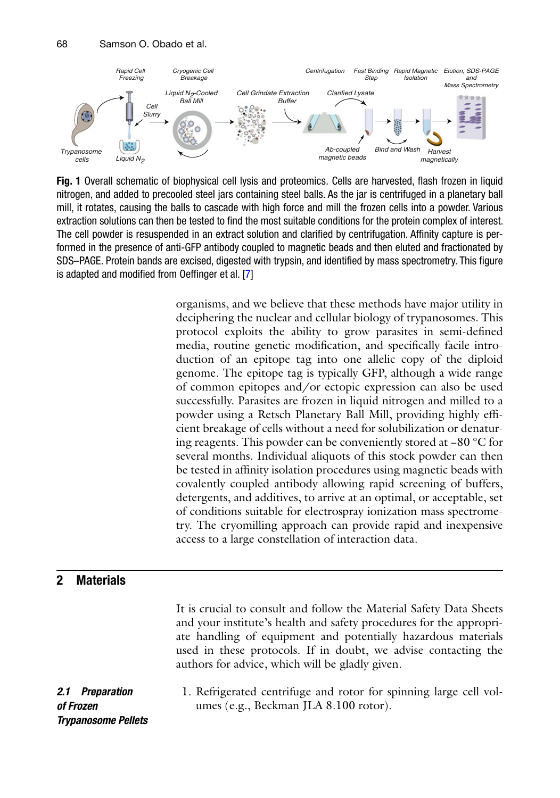<span id="page-1-0"></span>

**Fig. 1** Overall schematic of biophysical cell lysis and proteomics. Cells are harvested, flash frozen in liquid nitrogen, and added to precooled steel jars containing steel balls. As the jar is centrifuged in a planetary ball mill, it rotates, causing the balls to cascade with high force and mill the frozen cells into a powder. Various extraction solutions can then be tested to find the most suitable conditions for the protein complex of interest. The cell powder is resuspended in an extract solution and clarified by centrifugation. Affinity capture is performed in the presence of anti-GFP antibody coupled to magnetic beads and then eluted and fractionated by SDS–PAGE. Protein bands are excised, digested with trypsin, and identified by mass spectrometry. This figure is adapted and modified from Oeffinger et al. [7]

organisms, and we believe that these methods have major utility in deciphering the nuclear and cellular biology of trypanosomes. This protocol exploits the ability to grow parasites in semi-defined media, routine genetic modification, and specifically facile introduction of an epitope tag into one allelic copy of the diploid genome. The epitope tag is typically GFP, although a wide range of common epitopes and/or ectopic expression can also be used successfully. Parasites are frozen in liquid nitrogen and milled to a powder using a Retsch Planetary Ball Mill, providing highly efficient breakage of cells without a need for solubilization or denaturing reagents. This powder can be conveniently stored at −80 °C for several months. Individual aliquots of this stock powder can then be tested in affinity isolation procedures using magnetic beads with covalently coupled antibody allowing rapid screening of buffers, detergents, and additives, to arrive at an optimal, or acceptable, set of conditions suitable for electrospray ionization mass spectrometry. The cryomilling approach can provide rapid and inexpensive access to a large constellation of interaction data.

# **2 Materials**

It is crucial to consult and follow the Material Safety Data Sheets and your institute's health and safety procedures for the appropriate handling of equipment and potentially hazardous materials used in these protocols. If in doubt, we advise contacting the authors for advice, which will be gladly given.

*2.1 Preparation of Frozen Trypanosome Pellets*  1. Refrigerated centrifuge and rotor for spinning large cell volumes (e.g., Beckman JLA 8.100 rotor).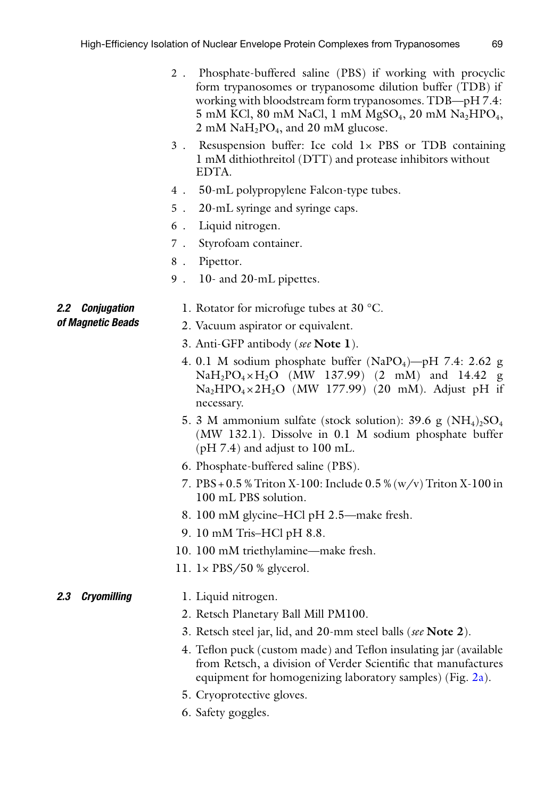- 2 . Phosphate-buffered saline (PBS) if working with procyclic form trypanosomes or trypanosome dilution buffer (TDB) if working with bloodstream form trypanosomes. TDB—pH 7.4: 5 mM KCl, 80 mM NaCl, 1 mM  $MgSO<sub>4</sub>$ , 20 mM Na<sub>2</sub>HPO<sub>4</sub>,  $2 \text{ mM } \text{NaH}_2\text{PO}_4$ , and  $20 \text{ mM }$  glucose.
- 3 . Resuspension buffer: Ice cold 1× PBS or TDB containing 1 mM dithiothreitol (DTT) and protease inhibitors without EDTA.
- 4 . 50-mL polypropylene Falcon-type tubes.
- 5 . 20-mL syringe and syringe caps.
- 6 . Liquid nitrogen.
- 7 . Styrofoam container.
- 8 . Pipettor.
- 9 . 10- and 20-mL pipettes.

# *2.2 Conjugation of Magnetic Beads*

- 1. Rotator for microfuge tubes at 30 °C.
- 2. Vacuum aspirator or equivalent.
- 3. Anti-GFP antibody ( *see* **Note 1** ).
- 4. 0.1 M sodium phosphate buffer  $(NaPO<sub>4</sub>)$ —pH 7.4: 2.62 g  $NaH_2PO_4 \times H_2O$  (MW 137.99) (2 mM) and 14.42 g  $Na<sub>2</sub>HPO<sub>4</sub> × 2H<sub>2</sub>O$  (MW 177.99) (20 mM). Adjust pH if necessary.
- 5. 3 M ammonium sulfate (stock solution):  $39.6 \text{ g } (\text{NH}_4)_2\text{SO}_4$ (MW 132.1). Dissolve in 0.1 M sodium phosphate buffer (pH 7.4) and adjust to 100 mL.
- 6. Phosphate-buffered saline (PBS).
- 7. PBS + 0.5 % Triton X-100: Include 0.5 % (w/v) Triton X-100 in 100 mL PBS solution.
- 8. 100 mM glycine–HCl pH 2.5—make fresh.
- 9. 10 mM Tris–HCl pH 8.8.
- 10. 100 mM triethylamine—make fresh.
- 11. 1× PBS/50 % glycerol.

#### 1. Liquid nitrogen . *2.3 Cryomilling*

- 2. Retsch Planetary Ball Mill PM100.
- 3. Retsch steel jar, lid, and 20-mm steel balls ( *see* **Note 2** ).
- 4. Teflon puck (custom made) and Teflon insulating jar (available from Retsch, a division of Verder Scientific that manufactures equipment for homogenizing laboratory samples) (Fig. [2a](#page-3-0)).
- 5. Cryoprotective gloves.
- 6. Safety goggles.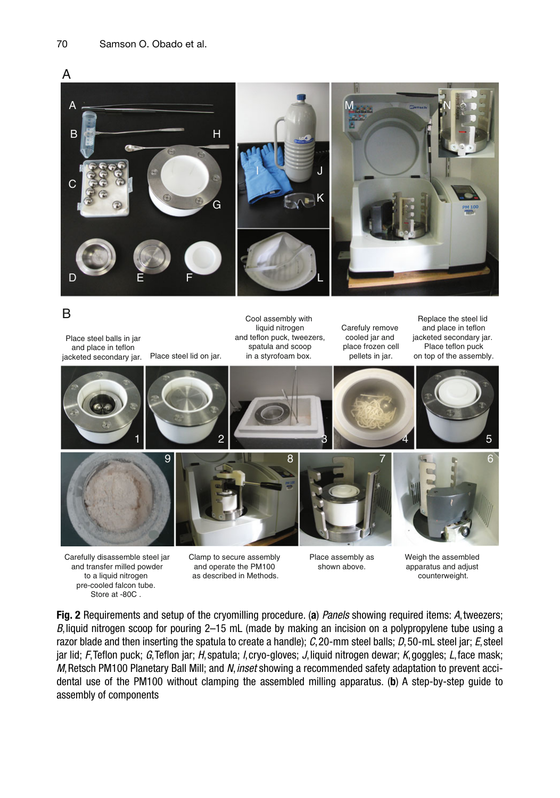<span id="page-3-0"></span>

# B

Place steel balls in jar and place in teflon jacketed secondary jar. Place steel lid on jar.

Cool assembly with liquid nitrogen and teflon puck, tweezers, spatula and scoop in a styrofoam box.

Carefuly remove cooled jar and place frozen cell pellets in jar.

Replace the steel lid and place in teflon jacketed secondary jar. Place teflon puck on top of the assembly.



Carefully disassemble steel jar and transfer milled powder to a liquid nitrogen pre-cooled falcon tube. Store at -80C .

Clamp to secure assembly and operate the PM100 as described in Methods.

Place assembly as shown above.

Weigh the assembled apparatus and adjust counterweight.

 **Fig. 2** Requirements and setup of the cryomilling procedure. ( **a** ) *Panels* showing required items: *A* , tweezers; *B* , liquid nitrogen scoop for pouring 2–15 mL (made by making an incision on a polypropylene tube using a razor blade and then inserting the spatula to create a handle); *C* , 20-mm steel balls; *D* , 50-mL steel jar; *E* , steel jar lid; *F*, Teflon puck; *G*, Teflon jar; *H*, spatula; *I*, cryo-gloves; *J*, liquid nitrogen dewar; *K*, goggles; *L*, face mask; *M*, Retsch PM100 Planetary Ball Mill; and *N*, *inset* showing a recommended safety adaptation to prevent accidental use of the PM100 without clamping the assembled milling apparatus. ( **b** ) A step-by-step guide to assembly of components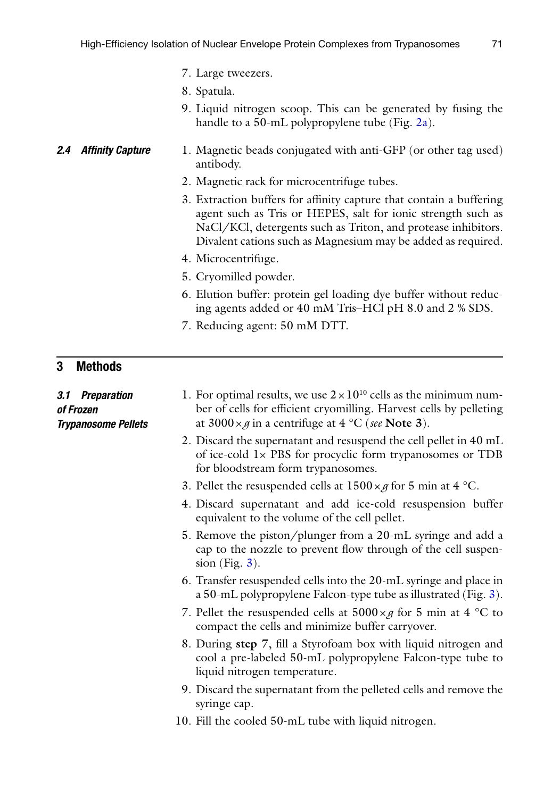- 7. Large tweezers.
- 8. Spatula.
- 9. Liquid nitrogen scoop. This can be generated by fusing the handle to a 50-mL polypropylene tube (Fig. [2a\)](#page-3-0).

#### 1. Magnetic beads conjugated with anti-GFP (or other tag used) antibody. **2.4 Affinity Capture**

- 2. Magnetic rack for microcentrifuge tubes.
- 3. Extraction buffers for affinity capture that contain a buffering agent such as Tris or HEPES, salt for ionic strength such as NaCl/KCl, detergents such as Triton, and protease inhibitors. Divalent cations such as Magnesium may be added as required.
- 4. Microcentrifuge.
- 5. Cryomilled powder.
- 6. Elution buffer: protein gel loading dye buffer without reducing agents added or 40 mM Tris–HCl pH 8.0 and 2 % SDS.
- 7. Reducing agent: 50 mM DTT.

# **3 Methods**

| 3.1 Preparation<br>of Frozen<br><b>Trypanosome Pellets</b> | 1. For optimal results, we use $2 \times 10^{10}$ cells as the minimum num-<br>ber of cells for efficient cryomilling. Harvest cells by pelleting<br>at 3000 $\times$ g in a centrifuge at 4 °C (see Note 3). |
|------------------------------------------------------------|---------------------------------------------------------------------------------------------------------------------------------------------------------------------------------------------------------------|
|                                                            | 2. Discard the supernatant and resuspend the cell pellet in 40 mL<br>of ice-cold 1x PBS for procyclic form trypanosomes or TDB<br>for bloodstream form trypanosomes.                                          |
|                                                            | 3. Pellet the resuspended cells at $1500 \times g$ for 5 min at 4 °C.                                                                                                                                         |
|                                                            | 4. Discard supernatant and add ice-cold resuspension buffer<br>equivalent to the volume of the cell pellet.                                                                                                   |
|                                                            | 5. Remove the piston/plunger from a 20-mL syringe and add a<br>cap to the nozzle to prevent flow through of the cell suspen-<br>sion (Fig. $3$ ).                                                             |
|                                                            | 6. Transfer resuspended cells into the 20-mL syringe and place in<br>a 50-mL polypropylene Falcon-type tube as illustrated (Fig. 3).                                                                          |
|                                                            | 7. Pellet the resuspended cells at $5000 \times g$ for 5 min at 4 °C to<br>compact the cells and minimize buffer carryover.                                                                                   |
|                                                            | 8. During step 7, fill a Styrofoam box with liquid nitrogen and<br>cool a pre-labeled 50-mL polypropylene Falcon-type tube to<br>liquid nitrogen temperature.                                                 |
|                                                            | 9. Discard the supernatant from the pelleted cells and remove the<br>syringe cap.                                                                                                                             |
|                                                            | 10. Fill the cooled 50-mL tube with liquid nitrogen.                                                                                                                                                          |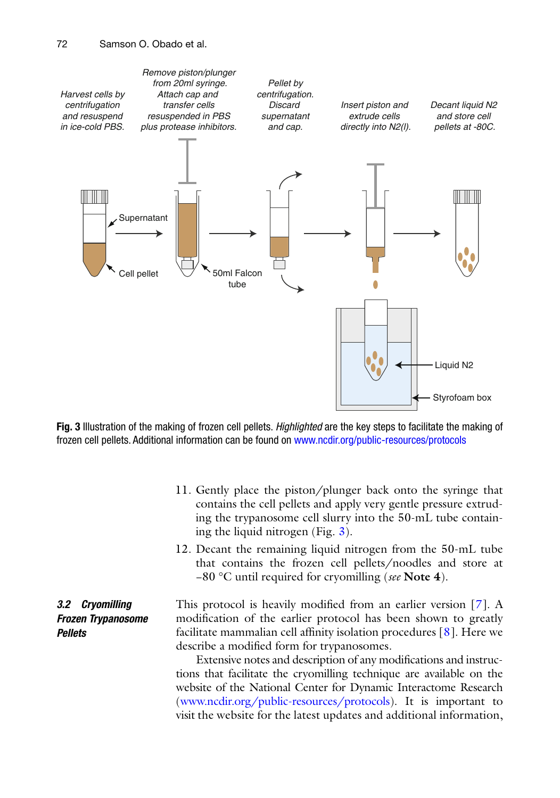<span id="page-5-0"></span>

 **Fig. 3** Illustration of the making of frozen cell pellets. *Highlighted* are the key steps to facilitate the making of frozen cell pellets. Additional information can be found on [www.ncdir.org/public-resources/protocols](http://www.ncdir.org/public-resources/protocols)

- 11. Gently place the piston/plunger back onto the syringe that contains the cell pellets and apply very gentle pressure extruding the trypanosome cell slurry into the 50-mL tube containing the liquid nitrogen (Fig. 3).
- 12. Decant the remaining liquid nitrogen from the 50-mL tube that contains the frozen cell pellets/noodles and store at −80 °C until required for cryomilling( *see* **Note 4**).

*3.2 Cryomilling Frozen Trypanosome Pellets*

This protocol is heavily modified from an earlier version  $[7]$ . A modification of the earlier protocol has been shown to greatly facilitate mammalian cell affinity isolation procedures  $[8]$ . Here we describe a modified form for trypanosomes.

Extensive notes and description of any modifications and instructions that facilitate the cryomilling technique are available on the website of the National Center for Dynamic Interactome Research ( [www.ncdir.org/public-resources/protocols \)](http://www.ncdir.org/public-resources/protocols). It is important to visit the website for the latest updates and additional information,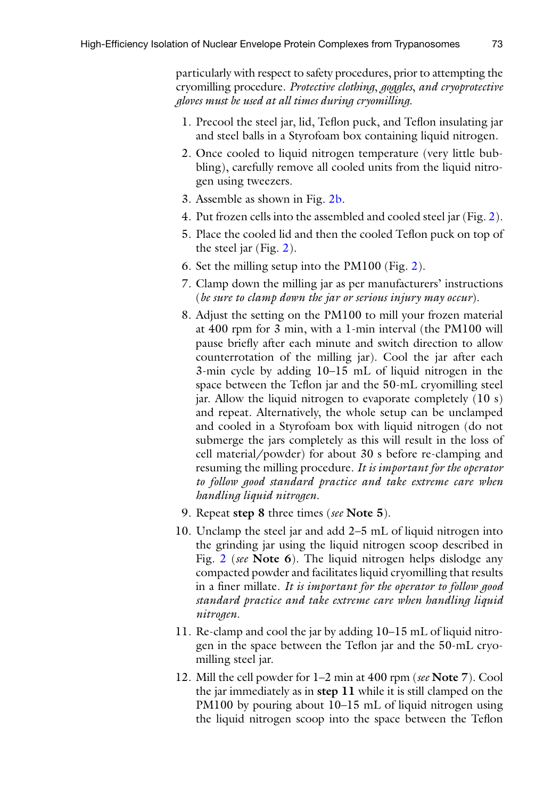particularly with respect to safety procedures, prior to attempting the cryomilling procedure. *Protective clothing*, *goggles*, *and cryoprotective gloves must be used at all times during cryomilling.*

- 1. Precool the steel jar, lid, Teflon puck, and Teflon insulating jar and steel balls in a Styrofoam box containing liquid nitrogen.
- 2. Once cooled to liquid nitrogen temperature (very little bubbling), carefully remove all cooled units from the liquid nitrogen using tweezers.
- 3. Assemble as shown in Fig. [2b](#page-3-0).
- 4. Put frozen cells into the assembled and cooled steel jar (Fig. [2\)](#page-3-0).
- 5. Place the cooled lid and then the cooled Teflon puck on top of the steel jar (Fig. [2\)](#page-3-0).
- 6. Set the milling setup into the PM100 (Fig. [2\)](#page-3-0).
- 7. Clamp down the milling jar as per manufacturers' instructions ( *be sure to clamp down the jar or serious injury may occur*).
- 8. Adjust the setting on the PM100 to mill your frozen material at 400 rpm for 3 min, with a 1-min interval (the PM100 will pause briefly after each minute and switch direction to allow counterrotation of the milling jar). Cool the jar after each 3-min cycle by adding 10–15 mL of liquid nitrogen in the space between the Teflon jar and the 50-mL cryomilling steel jar. Allow the liquid nitrogen to evaporate completely (10 s) and repeat. Alternatively, the whole setup can be unclamped and cooled in a Styrofoam box with liquid nitrogen (do not submerge the jars completely as this will result in the loss of cell material/powder) for about 30 s before re-clamping and resuming the milling procedure. *It is important for the operator to follow good standard practice and take extreme care when handling liquid nitrogen*.
- 9. Repeat **step 8** three times ( *see* **Note 5**).
- 10. Unclamp the steel jar and add 2–5 mL of liquid nitrogen into the grinding jar using the liquid nitrogen scoop described in Fig. [2](#page-3-0) ( *see* **Note 6**). The liquid nitrogen helps dislodge any compacted powder and facilitates liquid cryomilling that results in a finer millate. *It is important for the operator to follow good standard practice and take extreme care when handling liquid nitrogen*.
- 11. Re-clamp and cool the jar by adding 10–15 mL of liquid nitrogen in the space between the Teflon jar and the 50-mL cryomilling steel jar.
- 12. Mill the cell powder for 1–2 min at 400 rpm ( *see* **Note 7**). Cool the jar immediately as in **step 11** while it is still clamped on the PM100 by pouring about 10–15 mL of liquid nitrogen using the liquid nitrogen scoop into the space between the Teflon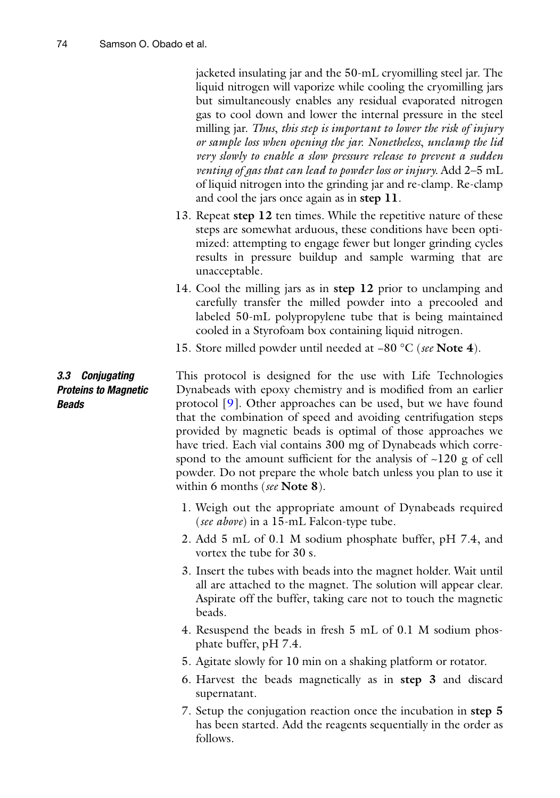jacketed insulating jar and the 50-mL cryomilling steel jar. The liquid nitrogen will vaporize while cooling the cryomilling jars but simultaneously enables any residual evaporated nitrogen gas to cool down and lower the internal pressure in the steel milling jar. *Thus*, *this step is important to lower the risk of injury or sample loss when opening the jar. Nonetheless*, *unclamp the lid very slowly to enable a slow pressure release to prevent a sudden venting of gas that can lead to powder loss or injury.* Add 2–5 mL of liquid nitrogen into the grinding jar and re-clamp. Re-clamp and cool the jars once again as in **step 11**.

- 13. Repeat **step 12** ten times. While the repetitive nature of these steps are somewhat arduous, these conditions have been optimized: attempting to engage fewer but longer grinding cycles results in pressure buildup and sample warming that are unacceptable.
- 14. Cool the milling jars as in **step 12** prior to unclamping and carefully transfer the milled powder into a precooled and labeled 50-mL polypropylene tube that is being maintained cooled in a Styrofoam box containing liquid nitrogen.
- 15. Store milled powder until needed at −80 °C ( *see* **Note 4**).

# *3.3 Conjugating Proteins to Magnetic Beads*

This protocol is designed for the use with Life Technologies Dynabeads with epoxy chemistry and is modified from an earlier protocol  $[9]$ . Other approaches can be used, but we have found that the combination of speed and avoiding centrifugation steps provided by magnetic beads is optimal of those approaches we have tried. Each vial contains 300 mg of Dynabeads which correspond to the amount sufficient for the analysis of  $~120$  g of cell powder. Do not prepare the whole batch unless you plan to use it within 6 months ( *see* **Note 8**).

- 1. Weigh out the appropriate amount of Dynabeads required ( *see above*) in a 15-mL Falcon-type tube.
- 2. Add 5 mL of 0.1 M sodium phosphate buffer, pH 7.4, and vortex the tube for 30 s.
- 3. Insert the tubes with beads into the magnet holder. Wait until all are attached to the magnet. The solution will appear clear. Aspirate off the buffer, taking care not to touch the magnetic beads.
- 4. Resuspend the beads in fresh 5 mL of 0.1 M sodium phosphate buffer, pH 7.4.
- 5. Agitate slowly for 10 min on a shaking platform or rotator.
- 6. Harvest the beads magnetically as in **step 3** and discard supernatant.
- 7. Setup the conjugation reaction once the incubation in **step 5** has been started. Add the reagents sequentially in the order as follows.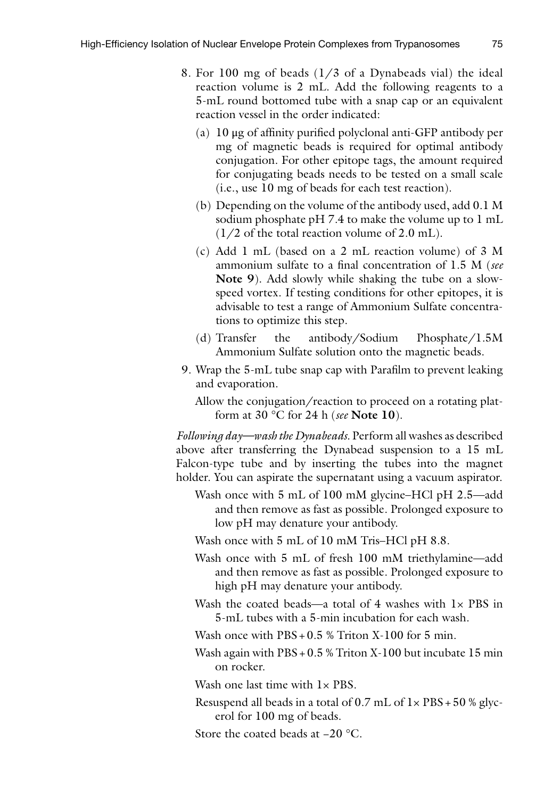- 8. For 100 mg of beads (1/3 of a Dynabeads vial) the ideal reaction volume is 2 mL. Add the following reagents to a 5-mL round bottomed tube with a snap cap or an equivalent reaction vessel in the order indicated:
	- (a)  $10 \mu$ g of affinity purified polyclonal anti-GFP antibody per mg of magnetic beads is required for optimal antibody conjugation. For other epitope tags, the amount required for conjugating beads needs to be tested on a small scale (i.e., use 10 mg of beads for each test reaction).
	- (b) Depending on the volume of the antibody used, add 0.1 M sodium phosphate pH 7.4 to make the volume up to 1 mL (1/2 of the total reaction volume of 2.0 mL).
	- (c) Add 1 mL (based on a 2 mL reaction volume) of 3 M ammonium sulfate to a final concentration of 1.5 M (see **Note 9**). Add slowly while shaking the tube on a slowspeed vortex. If testing conditions for other epitopes, it is advisable to test a range of Ammonium Sulfate concentrations to optimize this step.
	- (d) Transfer the antibody/Sodium Phosphate/1.5M Ammonium Sulfate solution onto the magnetic beads.
- 9. Wrap the 5-mL tube snap cap with Parafilm to prevent leaking and evaporation.

Allow the conjugation/reaction to proceed on a rotating platform at 30 °C for 24 h ( *see* **Note 10**).

*Following day—wash the Dynabeads.* Perform all washes as described above after transferring the Dynabead suspension to a 15 mL Falcon-type tube and by inserting the tubes into the magnet holder. You can aspirate the supernatant using a vacuum aspirator.

- Wash once with 5 mL of 100 mM glycine–HCl pH 2.5—add and then remove as fast as possible. Prolonged exposure to low pH may denature your antibody.
- Wash once with 5 mL of 10 mM Tris–HCl pH 8.8.
- Wash once with 5 mL of fresh 100 mM triethylamine—add and then remove as fast as possible. Prolonged exposure to high pH may denature your antibody.
- Wash the coated beads—a total of 4 washes with  $1 \times PBS$  in 5-mL tubes with a 5-min incubation for each wash.
- Wash once with PBS + 0.5 % Triton X-100 for 5 min.
- Wash again with PBS + 0.5 % Triton X-100 but incubate 15 min on rocker.

Wash one last time with  $1 \times$  PBS.

Resuspend all beads in a total of  $0.7$  mL of  $1 \times PBS + 50$  % glycerol for 100 mg of beads.

Store the coated beads at −20 °C.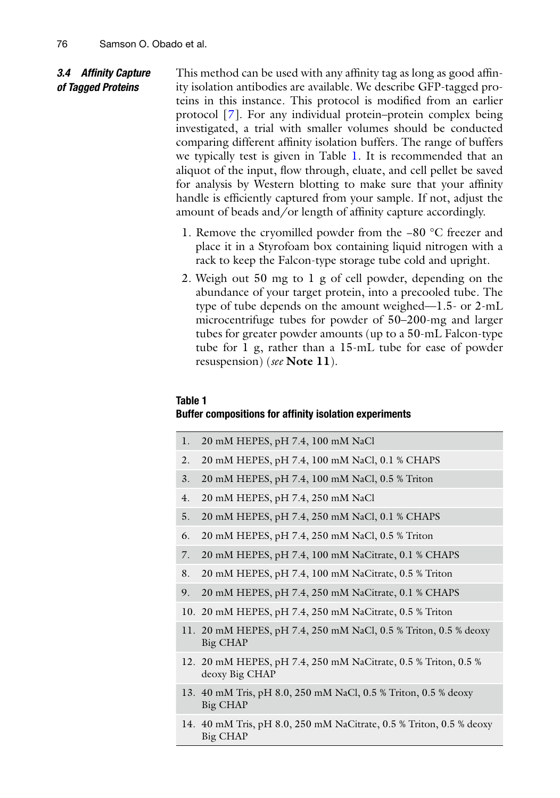# <span id="page-9-0"></span>*3.4 Affi nity Capture of Tagged Proteins*

This method can be used with any affinity tag as long as good affinity isolation antibodies are available. We describe GFP-tagged proteins in this instance. This protocol is modified from an earlier protocol [ [7](#page-13-0)]. For any individual protein–protein complex being investigated, a trial with smaller volumes should be conducted comparing different affinity isolation buffers. The range of buffers we typically test is given in Table 1. It is recommended that an aliquot of the input, flow through, eluate, and cell pellet be saved for analysis by Western blotting to make sure that your affinity handle is efficiently captured from your sample. If not, adjust the amount of beads and/or length of affinity capture accordingly.

- 1. Remove the cryomilled powder from the −80 °C freezer and place it in a Styrofoam box containing liquid nitrogen with a rack to keep the Falcon-type storage tube cold and upright.
- 2. Weigh out 50 mg to 1 g of cell powder, depending on the abundance of your target protein, into a precooled tube. The type of tube depends on the amount weighed—1.5- or 2-mL microcentrifuge tubes for powder of 50–200-mg and larger tubes for greater powder amounts (up to a 50-mL Falcon-type tube for 1 g, rather than a 15-mL tube for ease of powder resuspension) ( *see* **Note 11**).

## **Table 1**

Big CHAP

### **Buffer compositions for affinity isolation experiments**

| 1. | 20 mM HEPES, pH 7.4, 100 mM NaCl                                                 |
|----|----------------------------------------------------------------------------------|
| 2. | 20 mM HEPES, pH 7.4, 100 mM NaCl, 0.1 % CHAPS                                    |
| 3. | 20 mM HEPES, pH 7.4, 100 mM NaCl, 0.5 % Triton                                   |
| 4. | 20 mM HEPES, pH 7.4, 250 mM NaCl                                                 |
| 5. | 20 mM HEPES, pH 7.4, 250 mM NaCl, 0.1 % CHAPS                                    |
| 6. | 20 mM HEPES, pH 7.4, 250 mM NaCl, 0.5 % Triton                                   |
| 7. | 20 mM HEPES, pH 7.4, 100 mM NaCitrate, 0.1 % CHAPS                               |
| 8. | 20 mM HEPES, pH 7.4, 100 mM NaCitrate, 0.5 % Triton                              |
| 9. | 20 mM HEPES, pH 7.4, 250 mM NaCitrate, 0.1 % CHAPS                               |
|    | 10. 20 mM HEPES, pH 7.4, 250 mM NaCitrate, 0.5 % Triton                          |
|    | 11. 20 mM HEPES, pH 7.4, 250 mM NaCl, 0.5 % Triton, 0.5 % deoxy<br>Big CHAP      |
|    | 12. 20 mM HEPES, pH 7.4, 250 mM NaCitrate, 0.5 % Triton, 0.5 %<br>deoxy Big CHAP |
|    | 13. 40 mM Tris, pH 8.0, 250 mM NaCl, 0.5 % Triton, 0.5 % deoxy<br>Big CHAP       |
|    | 14. 40 mM Tris, pH 8.0, 250 mM NaCitrate, 0.5 % Triton, 0.5 % deoxy              |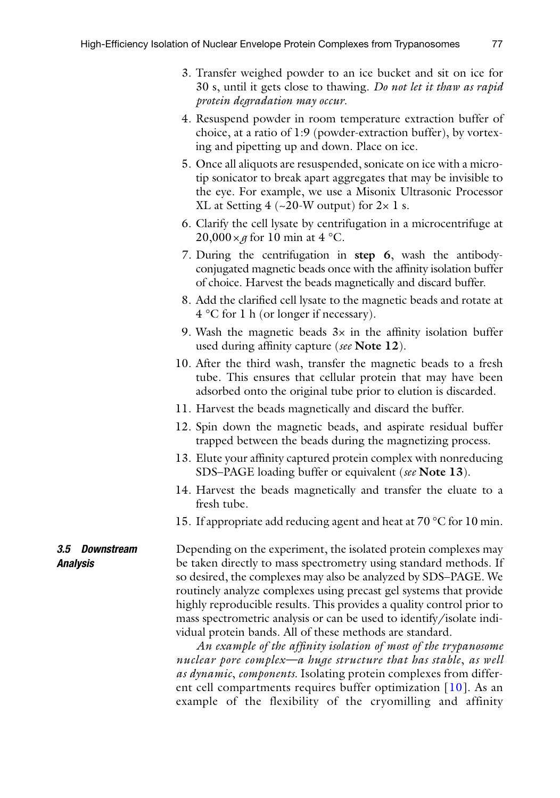- 3. Transfer weighed powder to an ice bucket and sit on ice for 30 s, until it gets close to thawing. *Do not let it thaw as rapid protein degradation may occur*.
- 4. Resuspend powder in room temperature extraction buffer of choice, at a ratio of 1:9 (powder-extraction buffer), by vortexing and pipetting up and down. Place on ice.
- 5. Once all aliquots are resuspended, sonicate on ice with a microtip sonicator to break apart aggregates that may be invisible to the eye. For example, we use a Misonix Ultrasonic Processor XL at Setting 4 ( $\sim$ 20-W output) for 2 $\times$  1 s.
- 6. Clarify the cell lysate by centrifugation in a microcentrifuge at  $20,000 \times g$  for 10 min at 4 °C.
- 7. During the centrifugation in **step 6**, wash the antibody conjugated magnetic beads once with the affinity isolation buffer of choice. Harvest the beads magnetically and discard buffer.
- 8. Add the clarified cell lysate to the magnetic beads and rotate at 4 °C for 1 h (or longer if necessary).
- 9. Wash the magnetic beads  $3x$  in the affinity isolation buffer used during affinity capture (see **Note 12**).
- 10. After the third wash, transfer the magnetic beads to a fresh tube. This ensures that cellular protein that may have been adsorbed onto the original tube prior to elution is discarded.
- 11. Harvest the beads magnetically and discard the buffer.
- 12. Spin down the magnetic beads, and aspirate residual buffer trapped between the beads during the magnetizing process.
- 13. Elute your affinity captured protein complex with nonreducing SDS–PAGEloading buffer or equivalent ( *see* **Note 13**).
- 14. Harvest the beads magnetically and transfer the eluate to a fresh tube.
- 15. If appropriate add reducing agent and heat at 70 °C for 10 min.

*3.5 Downstream Analysis*

Depending on the experiment, the isolated protein complexes may be taken directly to mass spectrometry using standard methods. If so desired, the complexes may also be analyzed by SDS–PAGE . We routinely analyze complexes using precast gel systems that provide highly reproducible results. This provides a quality control prior to mass spectrometric analysis or can be used to identify/isolate individual protein bands. All of these methods are standard.

*An example of the affi nity isolation of most of the trypanosome nuclear pore complex—a huge structure that has stable*, *as well as dynamic*, *components.* Isolating protein complexes from different cell compartments requires buffer optimization  $[10]$ . As an example of the flexibility of the cryomilling and affinity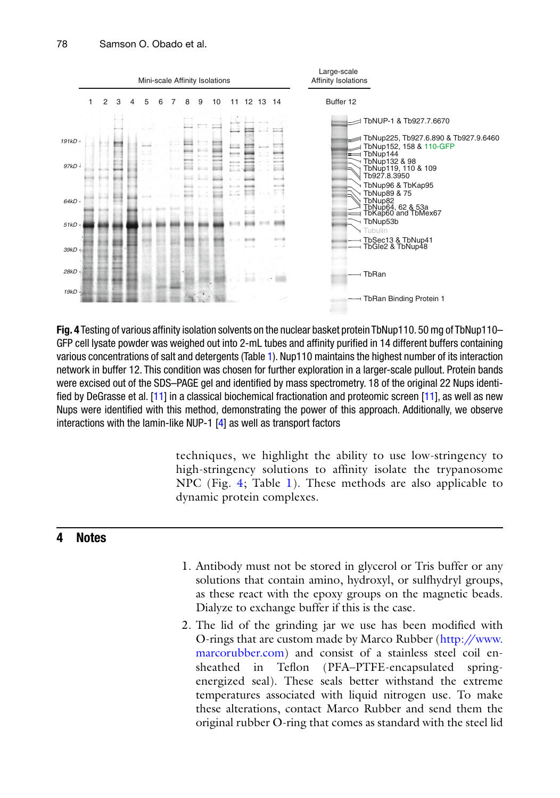

**Fig. 4** Testing of various affinity isolation solvents on the nuclear basket protein TbNup110. 50 mg of TbNup110– GFP cell lysate powder was weighed out into 2-mL tubes and affinity purified in 14 different buffers containing various concentrations of salt and detergents (Table [1 \)](#page-9-0). Nup110 maintains the highest number of its interaction network in buffer 12. This condition was chosen for further exploration in a larger-scale pullout. Protein bands were excised out of the SDS–PAGE gel and identified by mass spectrometry. 18 of the original 22 Nups identified by DeGrasse et al. [11] in a classical biochemical fractionation and proteomic screen [11], as well as new Nups were identified with this method, demonstrating the power of this approach. Additionally, we observe interactions with the lamin-like NUP-1  $[4]$  as well as transport factors

> techniques, we highlight the ability to use low-stringency to high-stringency solutions to affinity isolate the trypanosome NPC (Fig. 4; Table [1\)](#page-9-0). These methods are also applicable to dynamic protein complexes.

# **4 Notes**

- 1. Antibodymust not be stored in glycerol or Tris buffer or any solutions that contain amino, hydroxyl, or sulfhydryl groups, as these react with the epoxy groups on the magnetic beads. Dialyze to exchange buffer if this is the case.
- 2. The lid of the grinding jar we use has been modified with O-rings that are custom made by Marco Rubber (http://www. [marcorubber.com](http://www.marcorubber.com/)) and consist of a stainless steel coil ensheathed in Teflon (PFA–PTFE-encapsulated springenergized seal). These seals better withstand the extreme temperatures associated with liquid nitrogen use. To make these alterations, contact Marco Rubber and send them the original rubber O-ring that comes as standard with the steel lid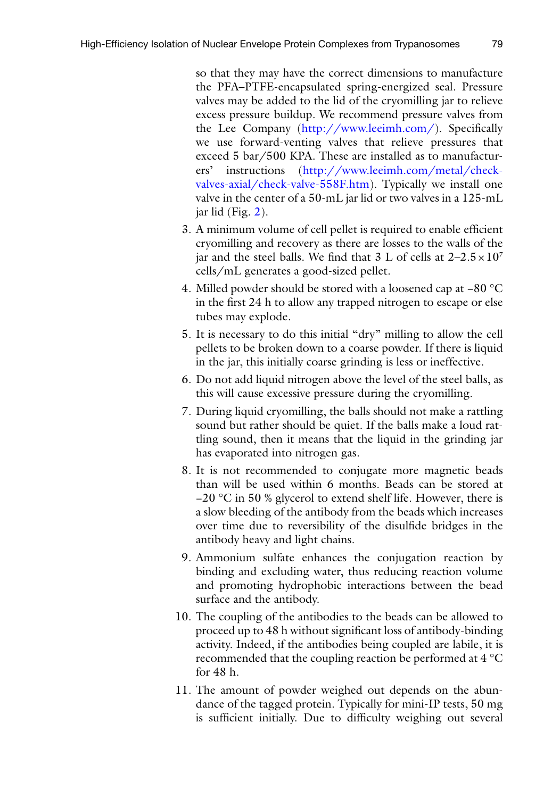so that they may have the correct dimensions to manufacture the PFA–PTFE-encapsulated spring-energized seal. Pressure valves may be added to the lid of the cryomilling jar to relieve excess pressure buildup. We recommend pressure valves from the Lee Company (http://www.leeimh.com/). Specifically we use forward-venting valves that relieve pressures that exceed 5 bar/500 KPA. These are installed as to manufacturers' instructions ( [http://www.leeimh.com/metal/check](http://www.leeimh.com/metal/check-valves-axial/check-valve-558F.htm)valves-axial/check-valve-558F.htm). Typically we install one valve in the center of a 50-mL jar lid or two valves in a 125-mL jar lid (Fig. [2](#page-3-0)).

- 3. A minimum volume of cell pellet is required to enable efficient cryomillingand recovery as there are losses to the walls of the jar and the steel balls. We find that 3 L of cells at  $2-2.5 \times 10^7$ cells/mL generates a good-sized pellet.
- 4. Milled powder should be stored with a loosened cap at −80 °C in the first 24 h to allow any trapped nitrogen to escape or else tubes may explode.
- 5. It is necessary to do this initial "dry" milling to allow the cell pellets to be broken down to a coarse powder. If there is liquid in the jar, this initially coarse grinding is less or ineffective.
- 6. Do not add liquid nitrogen above the level of the steel balls, as this will cause excessive pressure during the cryomilling .
- 7. During liquid cryomilling, the balls should not make a rattling sound but rather should be quiet. If the balls make a loud rattling sound, then it means that the liquid in the grinding jar has evaporated into nitrogen gas.
- 8. It is not recommended to conjugate more magnetic beads than will be used within 6 months. Beads can be stored at −20 °C in 50 % glycerol to extend shelf life. However, there is a slow bleeding of the antibody from the beads which increases over time due to reversibility of the disulfide bridges in the antibody heavy and light chains.
- 9. Ammonium sulfate enhances the conjugation reaction by binding and excluding water, thus reducing reaction volume and promoting hydrophobic interactions between the bead surface and the antibody.
- 10. The coupling of the antibodies to the beads can be allowed to proceed up to 48 h without significant loss of antibody-binding activity. Indeed, if the antibodies being coupled are labile, it is recommended that the coupling reaction be performed at 4 °C for 48 h.
- 11. The amount of powder weighed out depends on the abundance of the tagged protein. Typically for mini-IP tests, 50 mg is sufficient initially. Due to difficulty weighing out several